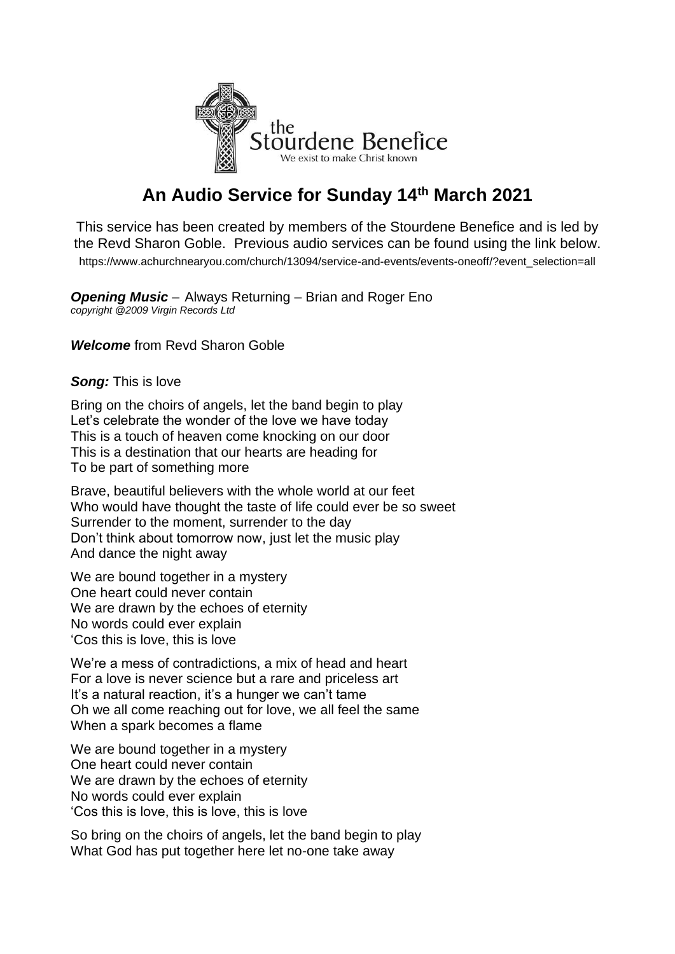

## **An Audio Service for Sunday 14th March 2021**

This service has been created by members of the Stourdene Benefice and is led by the Revd Sharon Goble. Previous audio services can be found using the link below. [https://www.achurchnearyou.com/church/13094/service-and-events/events-oneoff/?event\\_selection=all](https://www.achurchnearyou.com/church/13094/service-and-events/events-oneoff/?event_selection=all)

*Opening Music* – Always Returning – Brian and Roger Eno *copyright @2009 Virgin Records Ltd*

*Welcome* from Revd Sharon Goble

## *Song:* This is love

Bring on the choirs of angels, let the band begin to play Let's celebrate the wonder of the love we have today This is a touch of heaven come knocking on our door This is a destination that our hearts are heading for To be part of something more

Brave, beautiful believers with the whole world at our feet Who would have thought the taste of life could ever be so sweet Surrender to the moment, surrender to the day Don't think about tomorrow now, just let the music play And dance the night away

We are bound together in a mystery One heart could never contain We are drawn by the echoes of eternity No words could ever explain 'Cos this is love, this is love

We're a mess of contradictions, a mix of head and heart For a love is never science but a rare and priceless art It's a natural reaction, it's a hunger we can't tame Oh we all come reaching out for love, we all feel the same When a spark becomes a flame

We are bound together in a mystery One heart could never contain We are drawn by the echoes of eternity No words could ever explain 'Cos this is love, this is love, this is love

So bring on the choirs of angels, let the band begin to play What God has put together here let no-one take away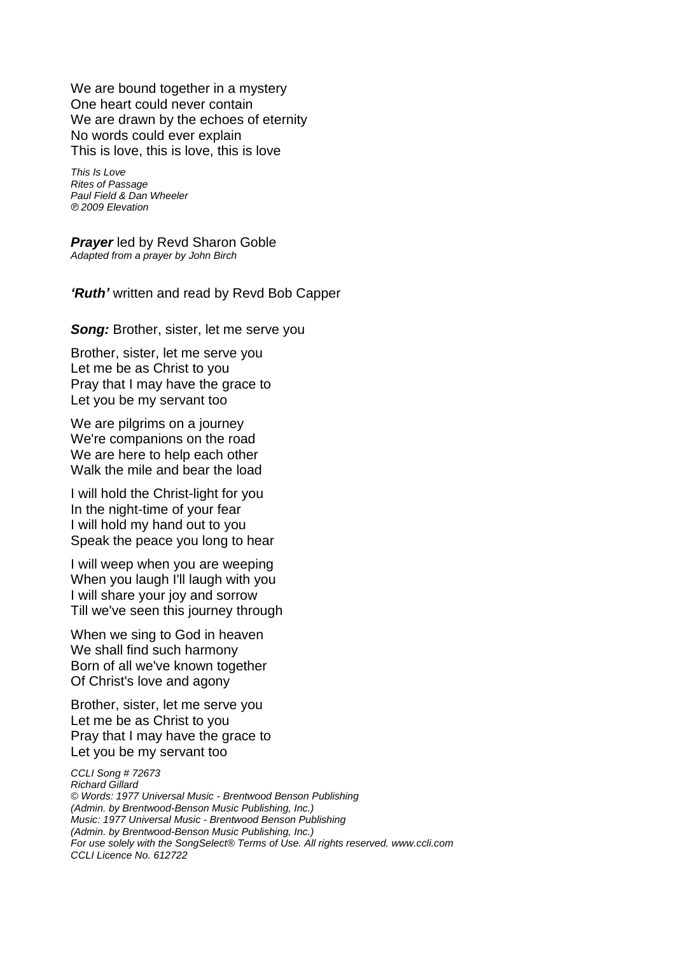We are bound together in a mystery One heart could never contain We are drawn by the echoes of eternity No words could ever explain This is love, this is love, this is love

*This Is Love Rites of Passage Paul Field & Dan Wheeler ℗ 2009 Elevation*

*Prayer* led by Revd Sharon Goble *Adapted from a prayer by John Birch*

*'Ruth'* written and read by Revd Bob Capper

*Song:* Brother, sister, let me serve you

Brother, sister, let me serve you Let me be as Christ to you Pray that I may have the grace to Let you be my servant too

We are pilgrims on a journey We're companions on the road We are here to help each other Walk the mile and bear the load

I will hold the Christ-light for you In the night-time of your fear I will hold my hand out to you Speak the peace you long to hear

I will weep when you are weeping When you laugh I'll laugh with you I will share your joy and sorrow Till we've seen this journey through

When we sing to God in heaven We shall find such harmony Born of all we've known together Of Christ's love and agony

Brother, sister, let me serve you Let me be as Christ to you Pray that I may have the grace to Let you be my servant too

*CCLI Song # 72673 Richard Gillard © Words: 1977 Universal Music - Brentwood Benson Publishing (Admin. by Brentwood-Benson Music Publishing, Inc.) Music: 1977 Universal Music - Brentwood Benson Publishing (Admin. by Brentwood-Benson Music Publishing, Inc.) For use solely with the SongSelect® Terms of Use. All rights reserved. www.ccli.com CCLI Licence No. 612722*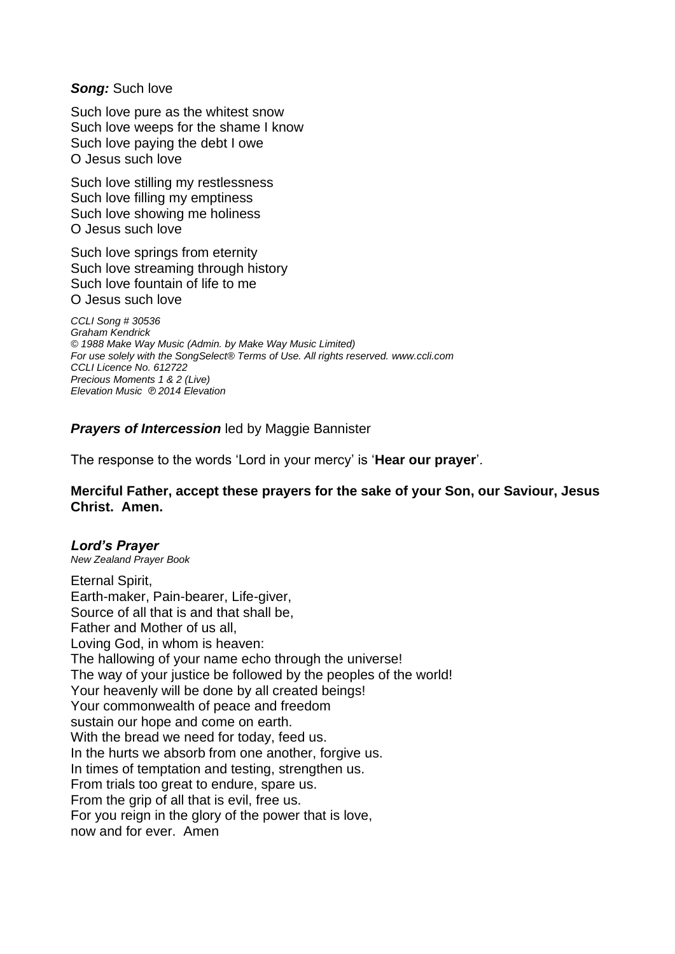*Song:* Such love

Such love pure as the whitest snow Such love weeps for the shame I know Such love paying the debt I owe O Jesus such love

Such love stilling my restlessness Such love filling my emptiness Such love showing me holiness O Jesus such love

Such love springs from eternity Such love streaming through history Such love fountain of life to me O Jesus such love

*CCLI Song # 30536 Graham Kendrick © 1988 Make Way Music (Admin. by Make Way Music Limited) For use solely with the SongSelect® Terms of Use. All rights reserved. www.ccli.com CCLI Licence No. 612722 Precious Moments 1 & 2 (Live) Elevation Music ℗ 2014 Elevation*

*Prayers of Intercession* led by Maggie Bannister

The response to the words 'Lord in your mercy' is '**Hear our prayer**'.

**Merciful Father, accept these prayers for the sake of your Son, our Saviour, Jesus Christ. Amen.**

## *Lord's Prayer*

*New Zealand Prayer Book*

Eternal Spirit, Earth-maker, Pain-bearer, Life-giver, Source of all that is and that shall be, Father and Mother of us all, Loving God, in whom is heaven: The hallowing of your name echo through the universe! The way of your justice be followed by the peoples of the world! Your heavenly will be done by all created beings! Your commonwealth of peace and freedom sustain our hope and come on earth. With the bread we need for today, feed us. In the hurts we absorb from one another, forgive us. In times of temptation and testing, strengthen us. From trials too great to endure, spare us. From the grip of all that is evil, free us. For you reign in the glory of the power that is love, now and for ever. Amen